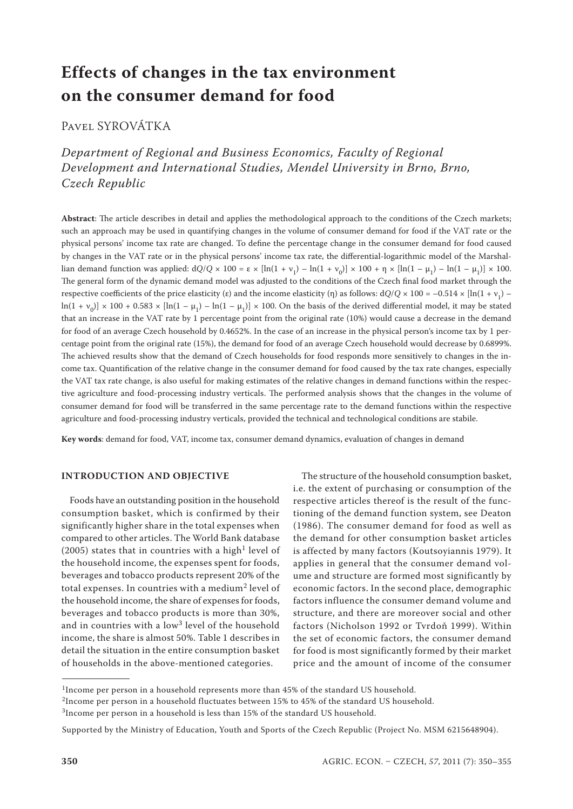# **Effects of changes in the tax environment on the consumer demand for food**

Pavel SYROVÁTKA

*Department of Regional and Business Economics, Faculty of Regional Development and International Studies, Mendel University in Brno, Brno, Czech Republic*

**Abstract**: The article describes in detail and applies the methodological approach to the conditions of the Czech markets; such an approach may be used in quantifying changes in the volume of consumer demand for food if the VAT rate or the physical persons' income tax rate are changed. To define the percentage change in the consumer demand for food caused by changes in the VAT rate or in the physical persons' income tax rate, the differential-logarithmic model of the Marshallian demand function was applied:  $dQ/Q \times 100 = \varepsilon \times [\ln(1 + v_1) - \ln(1 + v_0)] \times 100 + \eta \times [\ln(1 - \mu_1) - \ln(1 - \mu_1)] \times 100$ . The general form of the dynamic demand model was adjusted to the conditions of the Czech final food market through the respective coefficients of the price elasticity (ε) and the income elasticity (η) as follows:  $dQ/Q \times 100 = -0.514 \times [\ln(1 + v_1) \ln(1 + v_0) \times 100 + 0.583 \times [\ln(1 - \mu_1) - \ln(1 - \mu_1)] \times 100$ . On the basis of the derived differential model, it may be stated that an increase in the VAT rate by 1 percentage point from the original rate (10%) would cause a decrease in the demand for food of an average Czech household by 0.4652%. In the case of an increase in the physical person's income tax by 1 percentage point from the original rate (15%), the demand for food of an average Czech household would decrease by 0.6899%. The achieved results show that the demand of Czech households for food responds more sensitively to changes in the income tax. Quantification of the relative change in the consumer demand for food caused by the tax rate changes, especially the VAT tax rate change, is also useful for making estimates of the relative changes in demand functions within the respective agriculture and food-processing industry verticals. The performed analysis shows that the changes in the volume of consumer demand for food will be transferred in the same percentage rate to the demand functions within the respective agriculture and food-processing industry verticals, provided the technical and technological conditions are stabile.

**Key words**: demand for food, VAT, income tax, consumer demand dynamics, evaluation of changes in demand

## **Introduction and objective**

Foods have an outstanding position in the household consumption basket, which is confirmed by their significantly higher share in the total expenses when compared to other articles. The World Bank database (2005) states that in countries with a high<sup>1</sup> level of the household income, the expenses spent for foods, beverages and tobacco products represent 20% of the total expenses. In countries with a medium<sup>2</sup> level of the household income, the share of expenses for foods, beverages and tobacco products is more than 30%, and in countries with a low<sup>3</sup> level of the household income, the share is almost 50%. Table 1 describes in detail the situation in the entire consumption basket of households in the above-mentioned categories.

The structure of the household consumption basket, i.e. the extent of purchasing or consumption of the respective articles thereof is the result of the functioning of the demand function system, see Deaton (1986). The consumer demand for food as well as the demand for other consumption basket articles is affected by many factors (Koutsoyiannis 1979). It applies in general that the consumer demand volume and structure are formed most significantly by economic factors. In the second place, demographic factors influence the consumer demand volume and structure, and there are moreover social and other factors (Nicholson 1992 or Tvrdoň 1999). Within the set of economic factors, the consumer demand for food is most significantly formed by their market price and the amount of income of the consumer

<sup>&</sup>lt;sup>1</sup>Income per person in a household represents more than 45% of the standard US household.

<sup>2</sup>Income per person in a household fluctuates between 15% to 45% of the standard US household.

<sup>3</sup>Income per person in a household is less than 15% of the standard US household.

Supported by the Ministry of Education, Youth and Sports of the Czech Republic (Project No. MSM 6215648904).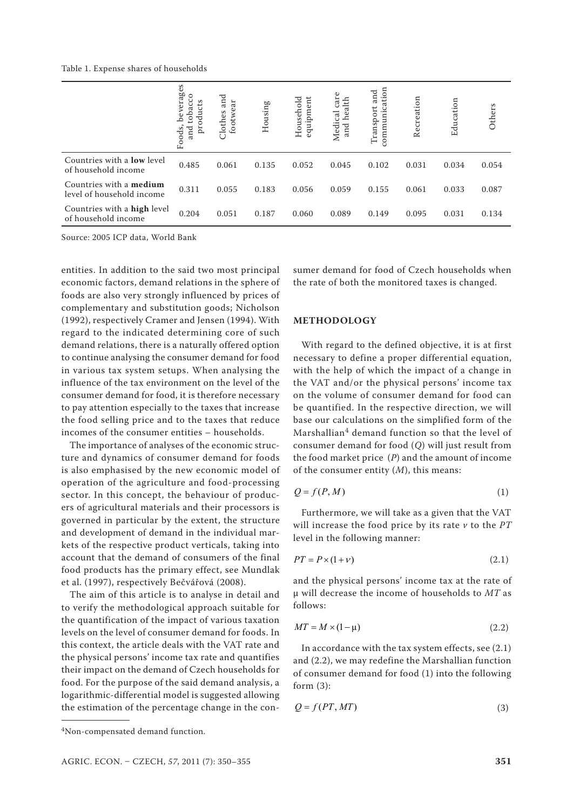Table 1. Expense shares of households

|                                                             | verages<br>$\circ$<br>ပ<br>ucts<br>tobac<br>نە<br>prodi<br>and<br>Foods, | and<br>footwear<br>Clothes | Housing | Household<br>equipment | care<br>and health<br>Medical | $\sin$<br>and<br>Ē<br>Transport<br>E<br>S | Recreation | Education | Others |
|-------------------------------------------------------------|--------------------------------------------------------------------------|----------------------------|---------|------------------------|-------------------------------|-------------------------------------------|------------|-----------|--------|
| Countries with a <b>low</b> level<br>of household income    | 0.485                                                                    | 0.061                      | 0.135   | 0.052                  | 0.045                         | 0.102                                     | 0.031      | 0.034     | 0.054  |
| Countries with a <b>medium</b><br>level of household income | 0.311                                                                    | 0.055                      | 0.183   | 0.056                  | 0.059                         | 0.155                                     | 0.061      | 0.033     | 0.087  |
| Countries with a high level<br>of household income          | 0.204                                                                    | 0.051                      | 0.187   | 0.060                  | 0.089                         | 0.149                                     | 0.095      | 0.031     | 0.134  |

Source: 2005 ICP data, World Bank

entities. In addition to the said two most principal economic factors, demand relations in the sphere of foods are also very strongly influenced by prices of complementary and substitution goods; Nicholson (1992), respectively Cramer and Jensen (1994). With regard to the indicated determining core of such demand relations, there is a naturally offered option to continue analysing the consumer demand for food in various tax system setups. When analysing the influence of the tax environment on the level of the consumer demand for food, it is therefore necessary to pay attention especially to the taxes that increase the food selling price and to the taxes that reduce incomes of the consumer entities – households.

The importance of analyses of the economic structure and dynamics of consumer demand for foods is also emphasised by the new economic model of operation of the agriculture and food-processing sector. In this concept, the behaviour of producers of agricultural materials and their processors is governed in particular by the extent, the structure and development of demand in the individual markets of the respective product verticals, taking into account that the demand of consumers of the final food products has the primary effect, see Mundlak et al. (1997), respectively Bečvářová (2008).

The aim of this article is to analyse in detail and to verify the methodological approach suitable for the quantification of the impact of various taxation levels on the level of consumer demand for foods. In this context, the article deals with the VAT rate and the physical persons' income tax rate and quantifies their impact on the demand of Czech households for food. For the purpose of the said demand analysis, a logarithmic-differential model is suggested allowing the estimation of the percentage change in the con-

sumer demand for food of Czech households when the rate of both the monitored taxes is changed.

## **METHODOLOGY**

With regard to the defined objective, it is at first necessary to define a proper differential equation, with the help of which the impact of a change in the VAT and/or the physical persons' income tax on the volume of consumer demand for food can be quantified. In the respective direction, we will base our calculations on the simplified form of the Marshallian $4$  demand function so that the level of consumer demand for food (*Q*) will just result from the food market price (*P*) and the amount of income of the consumer entity (*M*), this means:

$$
Q = f(P, M) \tag{1}
$$

Furthermore, we will take as a given that the VAT will increase the food price by its rate *v* to the *PT* level in the following manner:

$$
PT = P \times (1 + \nu) \tag{2.1}
$$

and the physical persons' income tax at the rate of μ will decrease the income of households to *MT* as follows:

$$
MT = M \times (1 - \mu) \tag{2.2}
$$

In accordance with the tax system effects, see (2.1) and (2.2), we may redefine the Marshallian function of consumer demand for food (1) into the following form (3):

$$
Q = f(PT, MT) \tag{3}
$$

<sup>4</sup>Non-compensated demand function.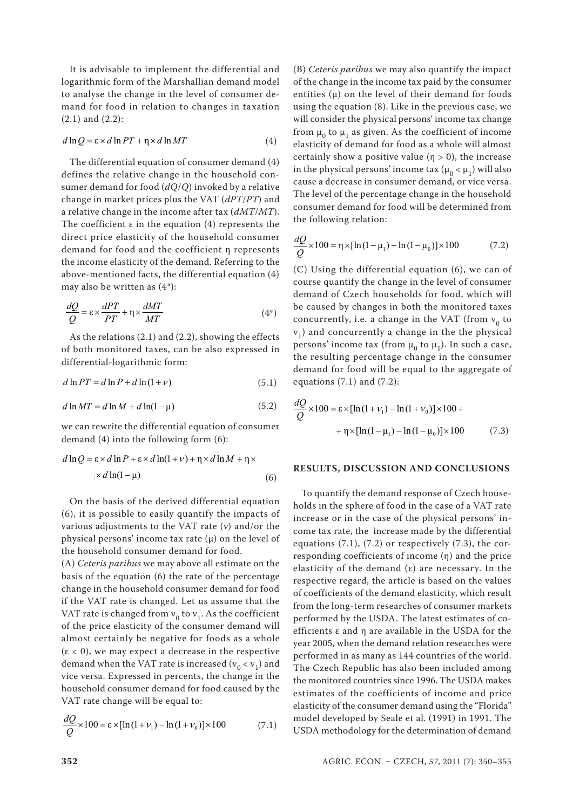It is advisable to implement the differential and logarithmic form of the Marshallian demand model to analyse the change in the level of consumer demand for food in relation to changes in taxation (2.1) and (2.2):

$$
d \ln Q = \varepsilon \times d \ln PT + \eta \times d \ln MT \tag{4}
$$

The differential equation of consumer demand (4) defines the relative change in the household consumer demand for food (*dQ*/*Q*) invoked by a relative change in market prices plus the VAT (*dPT*/*PT*) and a relative change in the income after tax (*dMT*/*MT*). The coefficient  $\varepsilon$  in the equation (4) represents the direct price elasticity of the household consumer demand for food and the coefficient η represents the income elasticity of the demand. Referring to the above-mentioned facts, the differential equation (4) may also be written as (4\*):

$$
\frac{dQ}{Q} = \varepsilon \times \frac{dPT}{PT} + \eta \times \frac{dMT}{MT}
$$
\n(4\*)

As the relations (2.1) and (2.2), showing the effects of both monitored taxes, can be also expressed in differential-logarithmic form:

$$
d \ln PT = d \ln P + d \ln (1 + v) \tag{5.1}
$$

$$
d \ln MT = d \ln M + d \ln(1 - \mu) \tag{5.2}
$$

demand (4) into the following form (6):

$$
d \ln Q = \varepsilon \times d \ln P + \varepsilon \times d \ln(1 + \nu) + \eta \times d \ln M + \eta \times
$$
  
 
$$
\times d \ln(1 - \mu) \tag{6}
$$

On the basis of the derived differential equation (6), it is possible to easily quantify the impacts of various adjustments to the VAT rate (ν) and/or the physical persons' income tax rate  $(\mu)$  on the level of the household consumer demand for food.

(A) *Ceteris paribus* we may above all estimate on the basis of the equation (6) the rate of the percentage change in the household consumer demand for food if the VAT rate is changed. Let us assume that the VAT rate is changed from  $v_0$  to  $v_1$ . As the coefficient of the price elasticity of the consumer demand will almost certainly be negative for foods as a whole  $(\epsilon < 0)$ , we may expect a decrease in the respective demand when the VAT rate is increased ( $v_0 < v_1$ ) and vice versa. Expressed in percents, the change in the household consumer demand for food caused by the VAT rate change will be equal to:

$$
\frac{dQ}{Q} \times 100 = \varepsilon \times [\ln(1 + \nu_1) - \ln(1 + \nu_0)] \times 100
$$
\n(7.1)

(B) *Ceteris paribus* we may also quantify the impact of the change in the income tax paid by the consumer entities  $(\mu)$  on the level of their demand for foods using the equation (8). Like in the previous case, we will consider the physical persons' income tax change from  $\mu_0$  to  $\mu_1$  as given. As the coefficient of income elasticity of demand for food as a whole will almost certainly show a positive value  $(n > 0)$ , the increase in the physical persons' income tax ( $\mu_0 < \mu_1$ ) will also cause a decrease in consumer demand, or vice versa. The level of the percentage change in the household consumer demand for food will be determined from the following relation:

$$
\frac{dQ}{Q} \times 100 = \eta \times [\ln(1 - \mu_1) - \ln(1 - \mu_0)] \times 100
$$
 (7.2)

(C) Using the differential equation (6), we can of course quantify the change in the level of consumer demand of Czech households for food, which will be caused by changes in both the monitored taxes concurrently, i.e. a change in the VAT (from  $v_0$  to  $v_1$ ) and concurrently a change in the the physical persons' income tax (from  $\mu_0$  to  $\mu_1$ ). In such a case, the resulting percentage change in the consumer demand for food will be equal to the aggregate of equations  $(7.1)$  and  $(7.2)$ :

$$
d \ln MT = d \ln M + d \ln(1 - \mu)
$$
\n(5.2)\n
$$
\frac{dQ}{Q} \times 100 = \varepsilon \times [\ln(1 + \nu_1) - \ln(1 + \nu_0)] \times 100 +
$$
\nwe can rewrite the differential equation of consumer\n
$$
+ \eta \times [\ln(1 - \mu_1) - \ln(1 - \mu_0)] \times 100 \tag{7.3}
$$

#### **RESULTS, DISCUSSION AND CONCLUSIONS**

To quantify the demand response of Czech households in the sphere of food in the case of a VAT rate increase or in the case of the physical persons' income tax rate, the increase made by the differential equations  $(7.1)$ ,  $(7.2)$  or respectively  $(7.3)$ , the corresponding coefficients of income (η) and the price elasticity of the demand  $(\varepsilon)$  are necessary. In the respective regard, the article is based on the values of coefficients of the demand elasticity, which result from the long-term researches of consumer markets performed by the USDA. The latest estimates of coefficients ε and η are available in the USDA for the year 2005, when the demand relation researches were performed in as many as 144 countries of the world. The Czech Republic has also been included among the monitored countries since 1996. The USDA makes estimates of the coefficients of income and price elasticity of the consumer demand using the "Florida" model developed by Seale et al. (1991) in 1991. The USDA methodology for the determination of demand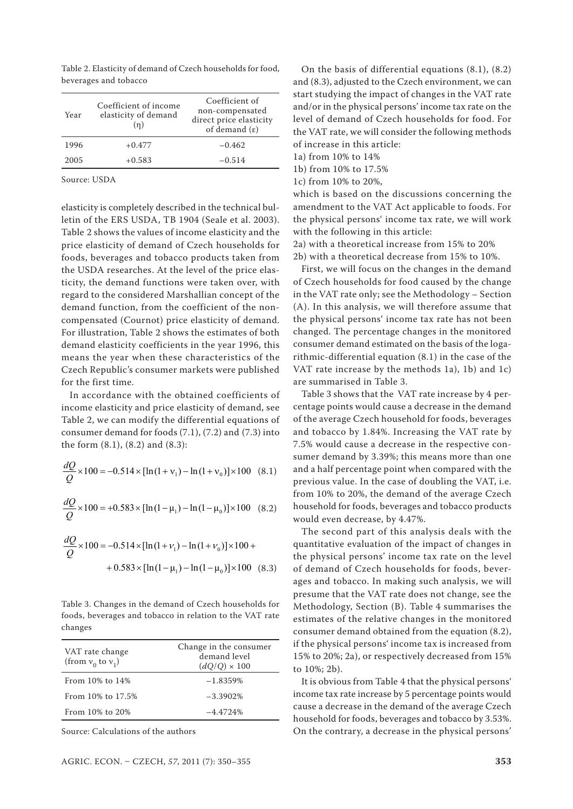Table 2. Elasticity of demand of Czech households for food, beverages and tobacco

| Year | Coefficient of income<br>elasticity of demand<br>(n) | Coefficient of<br>non-compensated<br>direct price elasticity<br>of demand $(\varepsilon)$ |
|------|------------------------------------------------------|-------------------------------------------------------------------------------------------|
| 1996 | $+0.477$                                             | $-0.462$                                                                                  |
| 2005 | $+0.583$                                             | $-0.514$                                                                                  |

Source: USDA

elasticity is completely described in the technical bulletin of the ERS USDA, TB 1904 (Seale et al. 2003). Table 2 shows the values of income elasticity and the price elasticity of demand of Czech households for foods, beverages and tobacco products taken from the USDA researches. At the level of the price elasticity, the demand functions were taken over, with regard to the considered Marshallian concept of the demand function, from the coefficient of the noncompensated (Cournot) price elasticity of demand. For illustration, Table 2 shows the estimates of both demand elasticity coefficients in the year 1996, this means the year when these characteristics of the Czech Republic's consumer markets were published for the first time.

In accordance with the obtained coefficients of income elasticity and price elasticity of demand, see Table 2, we can modify the differential equations of consumer demand for foods (7.1), (7.2) and (7.3) into the form (8.1), (8.2) and (8.3):

$$
\frac{dQ}{Q} \times 100 = -0.514 \times [\ln(1 + v_1) - \ln(1 + v_0)] \times 100 \quad (8.1)
$$

$$
\frac{dQ}{Q} \times 100 = +0.583 \times [\ln(1-\mu_1) - \ln(1-\mu_0)] \times 100 \quad (8.2)
$$

$$
\frac{dQ}{Q} \times 100 = -0.514 \times [\ln(1 + \nu_1) - \ln(1 + \nu_0)] \times 100 +
$$
  
+ 0.583 \times [\ln(1 - \mu\_1) - \ln(1 - \mu\_0)] \times 100 (8.3)

Table 3. Changes in the demand of Czech households for foods, beverages and tobacco in relation to the VAT rate changes

| VAT rate change<br>(from $v_0$ to $v_1$ ) | Change in the consumer<br>demand level<br>$(dQ/Q) \times 100$ |
|-------------------------------------------|---------------------------------------------------------------|
| From $10\%$ to $14\%$                     | $-1.8359%$                                                    |
| From 10% to 17.5%                         | $-3.3902%$                                                    |
| From 10% to 20%                           | $-4.4724%$                                                    |
|                                           |                                                               |

Source: Calculations of the authors

On the basis of differential equations (8.1), (8.2) and (8.3), adjusted to the Czech environment, we can start studying the impact of changes in the VAT rate and/or in the physical persons' income tax rate on the level of demand of Czech households for food. For the VAT rate, we will consider the following methods of increase in this article:

1a) from 10% to 14%

1b) from 10% to 17.5%

1c) from 10% to 20%,

which is based on the discussions concerning the amendment to the VAT Act applicable to foods. For the physical persons' income tax rate, we will work with the following in this article:

2a) with a theoretical increase from 15% to 20%

2b) with a theoretical decrease from 15% to 10%.

First, we will focus on the changes in the demand of Czech households for food caused by the change in the VAT rate only; see the Methodology – Section (A). In this analysis, we will therefore assume that the physical persons' income tax rate has not been changed. The percentage changes in the monitored consumer demand estimated on the basis of the logarithmic-differential equation (8.1) in the case of the VAT rate increase by the methods 1a), 1b) and 1c) are summarised in Table 3.

Table 3 shows that the VAT rate increase by 4 percentage points would cause a decrease in the demand of the average Czech household for foods, beverages and tobacco by 1.84%. Increasing the VAT rate by 7.5% would cause a decrease in the respective consumer demand by 3.39%; this means more than one and a half percentage point when compared with the previous value. In the case of doubling the VAT, i.e. from 10% to 20%, the demand of the average Czech household for foods, beverages and tobacco products would even decrease, by 4.47%.

The second part of this analysis deals with the quantitative evaluation of the impact of changes in the physical persons' income tax rate on the level of demand of Czech households for foods, beverages and tobacco. In making such analysis, we will presume that the VAT rate does not change, see the Methodology, Section (B). Table 4 summarises the estimates of the relative changes in the monitored consumer demand obtained from the equation (8.2), if the physical persons' income tax is increased from 15% to 20%; 2a), or respectively decreased from 15% to 10%; 2b).

It is obvious from Table 4 that the physical persons' income tax rate increase by 5 percentage points would cause a decrease in the demand of the average Czech household for foods, beverages and tobacco by 3.53%. On the contrary, a decrease in the physical persons'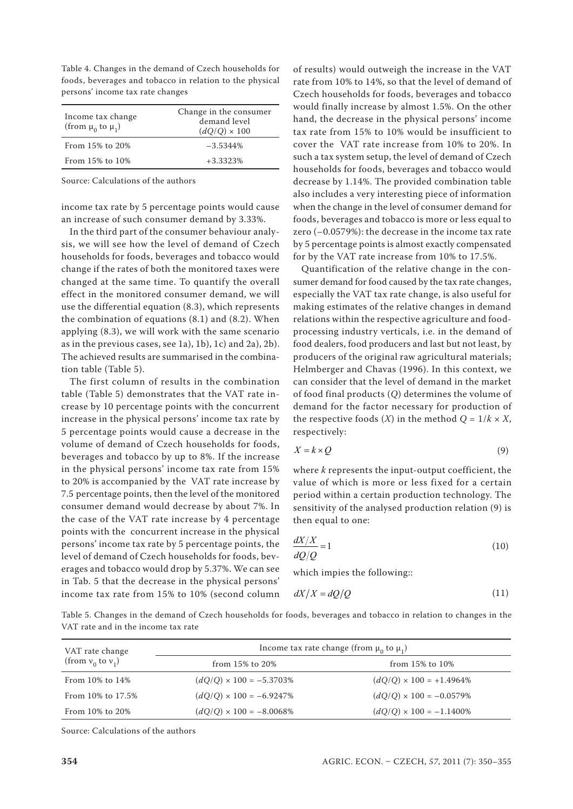Table 4. Changes in the demand of Czech households for foods, beverages and tobacco in relation to the physical persons' income tax rate changes

| Income tax change<br>(from $\mu_0$ to $\mu_1$ ) | Change in the consumer<br>demand level<br>$(dO/O) \times 100$ |
|-------------------------------------------------|---------------------------------------------------------------|
| From 15% to 20%                                 | $-3.5344\%$                                                   |
| From 15% to 10%                                 | $+3.3323%$                                                    |

Source: Calculations of the authors

income tax rate by 5 percentage points would cause an increase of such consumer demand by 3.33%.

In the third part of the consumer behaviour analysis, we will see how the level of demand of Czech households for foods, beverages and tobacco would change if the rates of both the monitored taxes were changed at the same time. To quantify the overall effect in the monitored consumer demand, we will use the differential equation (8.3), which represents the combination of equations (8.1) and (8.2). When applying (8.3), we will work with the same scenario as in the previous cases, see 1a), 1b), 1c) and 2a), 2b). The achieved results are summarised in the combination table (Table 5).

The first column of results in the combination table (Table 5) demonstrates that the VAT rate increase by 10 percentage points with the concurrent increase in the physical persons' income tax rate by 5 percentage points would cause a decrease in the volume of demand of Czech households for foods, beverages and tobacco by up to 8%. If the increase in the physical persons' income tax rate from 15% to 20% is accompanied by the VAT rate increase by 7.5 percentage points, then the level of the monitored consumer demand would decrease by about 7%. In the case of the VAT rate increase by 4 percentage points with the concurrent increase in the physical persons' income tax rate by 5 percentage points, the level of demand of Czech households for foods, beverages and tobacco would drop by 5.37%. We can see in Tab. 5 that the decrease in the physical persons' income tax rate from 15% to 10% (second column

of results) would outweigh the increase in the VAT rate from 10% to 14%, so that the level of demand of Czech households for foods, beverages and tobacco would finally increase by almost 1.5%. On the other hand, the decrease in the physical persons' income tax rate from 15% to 10% would be insufficient to cover the VAT rate increase from 10% to 20%. In such a tax system setup, the level of demand of Czech households for foods, beverages and tobacco would decrease by 1.14%. The provided combination table also includes a very interesting piece of information when the change in the level of consumer demand for foods, beverages and tobacco is more or less equal to zero (–0.0579%): the decrease in the income tax rate by 5 percentage points is almost exactly compensated for by the VAT rate increase from 10% to 17.5%.

Quantification of the relative change in the consumer demand for food caused by the tax rate changes, especially the VAT tax rate change, is also useful for making estimates of the relative changes in demand relations within the respective agriculture and foodprocessing industry verticals, i.e. in the demand of food dealers, food producers and last but not least, by producers of the original raw agricultural materials; Helmberger and Chavas (1996). In this context, we can consider that the level of demand in the market of food final products (*Q*) determines the volume of demand for the factor necessary for production of the respective foods  $(X)$  in the method  $Q = 1/k \times X$ , respectively:

$$
X = k \times Q \tag{9}
$$

where *k* represents the input-output coefficient, the value of which is more or less fixed for a certain period within a certain production technology. The sensitivity of the analysed production relation (9) is then equal to one:

$$
\frac{dX/X}{dQ/Q} = 1\tag{10}
$$

which impies the following::

$$
dX/X = dQ/Q \tag{11}
$$

Table 5. Changes in the demand of Czech households for foods, beverages and tobacco in relation to changes in the VAT rate and in the income tax rate

| VAT rate change<br>(from $v_0$ to $v_1$ ) | Income tax rate change (from $\mu_0$ to $\mu_1$ ) |                                 |  |  |
|-------------------------------------------|---------------------------------------------------|---------------------------------|--|--|
|                                           | from $15\%$ to $20\%$                             | from $15\%$ to $10\%$           |  |  |
| From $10\%$ to $14\%$                     | $(dQ/Q) \times 100 = -5.3703\%$                   | $(dQ/Q) \times 100 = +1.4964\%$ |  |  |
| From 10% to 17.5%                         | $(dQ/Q) \times 100 = -6.9247\%$                   | $(dQ/Q) \times 100 = -0.0579\%$ |  |  |
| From $10\%$ to $20\%$                     | $(dQ/Q) \times 100 = -8.0068\%$                   | $(dQ/Q) \times 100 = -1.1400\%$ |  |  |

Source: Calculations of the authors